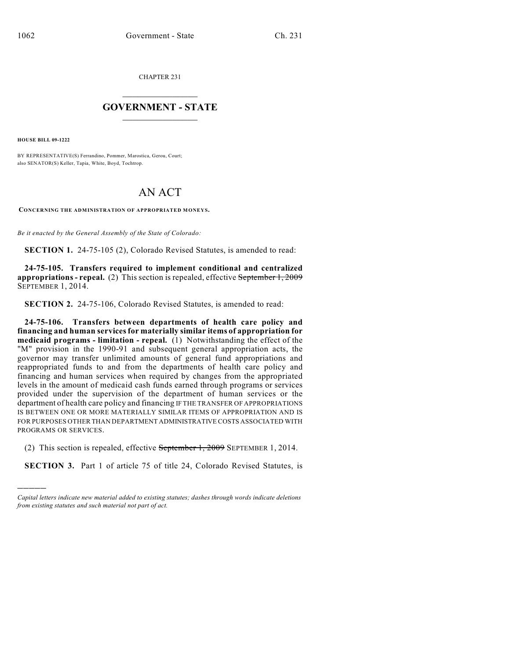CHAPTER 231

## $\mathcal{L}_\text{max}$  . The set of the set of the set of the set of the set of the set of the set of the set of the set of the set of the set of the set of the set of the set of the set of the set of the set of the set of the set **GOVERNMENT - STATE**  $\_$   $\_$   $\_$   $\_$   $\_$   $\_$   $\_$   $\_$   $\_$

**HOUSE BILL 09-1222**

)))))

BY REPRESENTATIVE(S) Ferrandino, Pommer, Marostica, Gerou, Court; also SENATOR(S) Keller, Tapia, White, Boyd, Tochtrop.

## AN ACT

**CONCERNING THE ADMINISTRATION OF APPROPRIATED MONEYS.**

*Be it enacted by the General Assembly of the State of Colorado:*

**SECTION 1.** 24-75-105 (2), Colorado Revised Statutes, is amended to read:

**24-75-105. Transfers required to implement conditional and centralized appropriations - repeal.** (2) This section is repealed, effective September 1, 2009 SEPTEMBER 1, 2014.

**SECTION 2.** 24-75-106, Colorado Revised Statutes, is amended to read:

**24-75-106. Transfers between departments of health care policy and financing and human services for materially similar items of appropriation for medicaid programs - limitation - repeal.** (1) Notwithstanding the effect of the "M" provision in the 1990-91 and subsequent general appropriation acts, the governor may transfer unlimited amounts of general fund appropriations and reappropriated funds to and from the departments of health care policy and financing and human services when required by changes from the appropriated levels in the amount of medicaid cash funds earned through programs or services provided under the supervision of the department of human services or the department of health care policy and financing IF THE TRANSFER OF APPROPRIATIONS IS BETWEEN ONE OR MORE MATERIALLY SIMILAR ITEMS OF APPROPRIATION AND IS FOR PURPOSES OTHER THAN DEPARTMENT ADMINISTRATIVE COSTS ASSOCIATED WITH PROGRAMS OR SERVICES.

(2) This section is repealed, effective September 1, 2009 SEPTEMBER 1, 2014.

**SECTION 3.** Part 1 of article 75 of title 24, Colorado Revised Statutes, is

*Capital letters indicate new material added to existing statutes; dashes through words indicate deletions from existing statutes and such material not part of act.*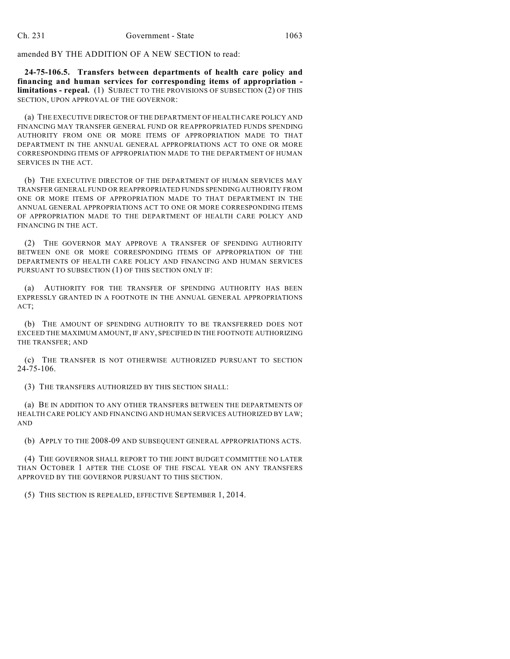amended BY THE ADDITION OF A NEW SECTION to read:

**24-75-106.5. Transfers between departments of health care policy and financing and human services for corresponding items of appropriation limitations - repeal.** (1) SUBJECT TO THE PROVISIONS OF SUBSECTION (2) OF THIS SECTION, UPON APPROVAL OF THE GOVERNOR:

(a) THE EXECUTIVE DIRECTOR OF THE DEPARTMENT OF HEALTH CARE POLICY AND FINANCING MAY TRANSFER GENERAL FUND OR REAPPROPRIATED FUNDS SPENDING AUTHORITY FROM ONE OR MORE ITEMS OF APPROPRIATION MADE TO THAT DEPARTMENT IN THE ANNUAL GENERAL APPROPRIATIONS ACT TO ONE OR MORE CORRESPONDING ITEMS OF APPROPRIATION MADE TO THE DEPARTMENT OF HUMAN SERVICES IN THE ACT.

(b) THE EXECUTIVE DIRECTOR OF THE DEPARTMENT OF HUMAN SERVICES MAY TRANSFER GENERAL FUND OR REAPPROPRIATED FUNDS SPENDING AUTHORITY FROM ONE OR MORE ITEMS OF APPROPRIATION MADE TO THAT DEPARTMENT IN THE ANNUAL GENERAL APPROPRIATIONS ACT TO ONE OR MORE CORRESPONDING ITEMS OF APPROPRIATION MADE TO THE DEPARTMENT OF HEALTH CARE POLICY AND FINANCING IN THE ACT.

(2) THE GOVERNOR MAY APPROVE A TRANSFER OF SPENDING AUTHORITY BETWEEN ONE OR MORE CORRESPONDING ITEMS OF APPROPRIATION OF THE DEPARTMENTS OF HEALTH CARE POLICY AND FINANCING AND HUMAN SERVICES PURSUANT TO SUBSECTION (1) OF THIS SECTION ONLY IF:

(a) AUTHORITY FOR THE TRANSFER OF SPENDING AUTHORITY HAS BEEN EXPRESSLY GRANTED IN A FOOTNOTE IN THE ANNUAL GENERAL APPROPRIATIONS ACT;

(b) THE AMOUNT OF SPENDING AUTHORITY TO BE TRANSFERRED DOES NOT EXCEED THE MAXIMUM AMOUNT, IF ANY, SPECIFIED IN THE FOOTNOTE AUTHORIZING THE TRANSFER; AND

(c) THE TRANSFER IS NOT OTHERWISE AUTHORIZED PURSUANT TO SECTION 24-75-106.

(3) THE TRANSFERS AUTHORIZED BY THIS SECTION SHALL:

(a) BE IN ADDITION TO ANY OTHER TRANSFERS BETWEEN THE DEPARTMENTS OF HEALTH CARE POLICY AND FINANCING AND HUMAN SERVICES AUTHORIZED BY LAW; AND

(b) APPLY TO THE 2008-09 AND SUBSEQUENT GENERAL APPROPRIATIONS ACTS.

(4) THE GOVERNOR SHALL REPORT TO THE JOINT BUDGET COMMITTEE NO LATER THAN OCTOBER 1 AFTER THE CLOSE OF THE FISCAL YEAR ON ANY TRANSFERS APPROVED BY THE GOVERNOR PURSUANT TO THIS SECTION.

(5) THIS SECTION IS REPEALED, EFFECTIVE SEPTEMBER 1, 2014.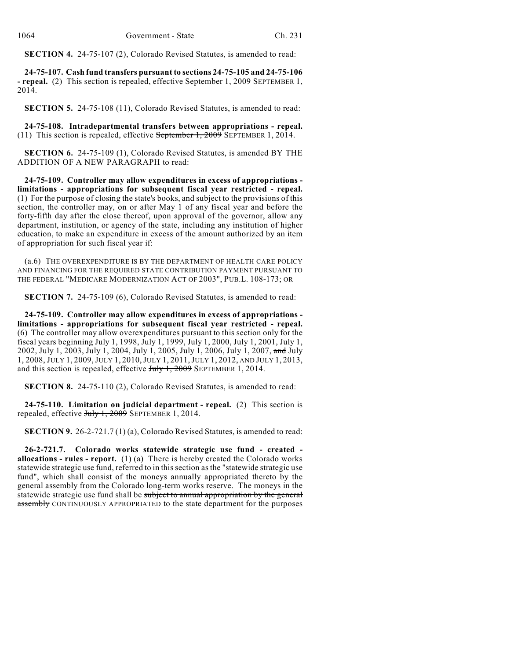**SECTION 4.** 24-75-107 (2), Colorado Revised Statutes, is amended to read:

**24-75-107. Cash fund transfers pursuant to sections 24-75-105 and 24-75-106 - repeal.** (2) This section is repealed, effective September 1, 2009 SEPTEMBER 1, 2014.

**SECTION 5.** 24-75-108 (11), Colorado Revised Statutes, is amended to read:

**24-75-108. Intradepartmental transfers between appropriations - repeal.** (11) This section is repealed, effective  $S$ eptember 1, 2009 SEPTEMBER 1, 2014.

**SECTION 6.** 24-75-109 (1), Colorado Revised Statutes, is amended BY THE ADDITION OF A NEW PARAGRAPH to read:

**24-75-109. Controller may allow expenditures in excess of appropriations limitations - appropriations for subsequent fiscal year restricted - repeal.** (1) For the purpose of closing the state's books, and subject to the provisions of this section, the controller may, on or after May 1 of any fiscal year and before the forty-fifth day after the close thereof, upon approval of the governor, allow any department, institution, or agency of the state, including any institution of higher education, to make an expenditure in excess of the amount authorized by an item of appropriation for such fiscal year if:

(a.6) THE OVEREXPENDITURE IS BY THE DEPARTMENT OF HEALTH CARE POLICY AND FINANCING FOR THE REQUIRED STATE CONTRIBUTION PAYMENT PURSUANT TO THE FEDERAL "MEDICARE MODERNIZATION ACT OF 2003", PUB.L. 108-173; OR

**SECTION 7.** 24-75-109 (6), Colorado Revised Statutes, is amended to read:

**24-75-109. Controller may allow expenditures in excess of appropriations limitations - appropriations for subsequent fiscal year restricted - repeal.** (6) The controller may allow overexpenditures pursuant to this section only for the fiscal years beginning July 1, 1998, July 1, 1999, July 1, 2000, July 1, 2001, July 1, 2002, July 1, 2003, July 1, 2004, July 1, 2005, July 1, 2006, July 1, 2007, and July 1, 2008, JULY 1, 2009,JULY 1, 2010,JULY 1, 2011,JULY 1, 2012, AND JULY 1, 2013, and this section is repealed, effective July 1, 2009 SEPTEMBER 1, 2014.

**SECTION 8.** 24-75-110 (2), Colorado Revised Statutes, is amended to read:

**24-75-110. Limitation on judicial department - repeal.** (2) This section is repealed, effective July 1, 2009 SEPTEMBER 1, 2014.

**SECTION 9.** 26-2-721.7 (1) (a), Colorado Revised Statutes, is amended to read:

**26-2-721.7. Colorado works statewide strategic use fund - created allocations - rules - report.** (1) (a) There is hereby created the Colorado works statewide strategic use fund, referred to in this section as the "statewide strategic use fund", which shall consist of the moneys annually appropriated thereto by the general assembly from the Colorado long-term works reserve. The moneys in the statewide strategic use fund shall be subject to annual appropriation by the general assembly CONTINUOUSLY APPROPRIATED to the state department for the purposes